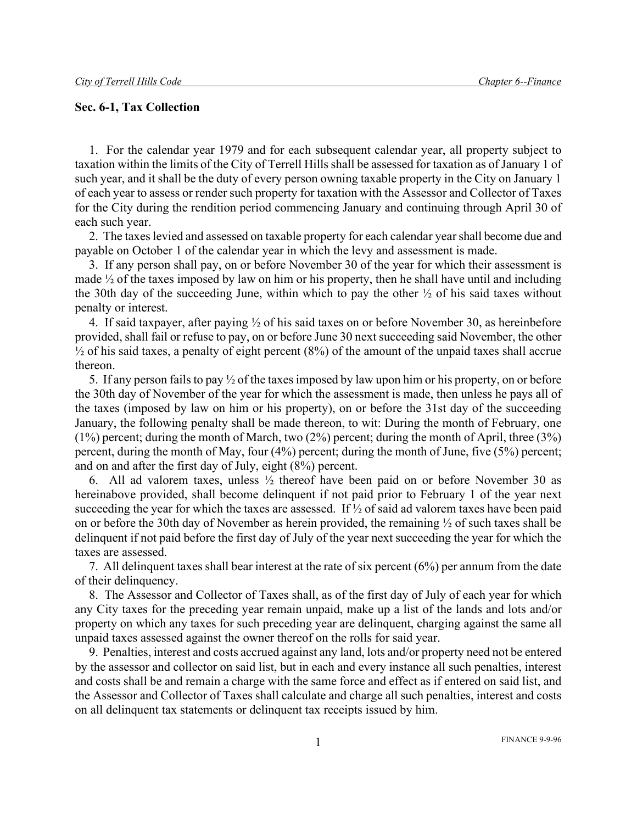#### **Sec. 6-1, Tax Collection**

1. For the calendar year 1979 and for each subsequent calendar year, all property subject to taxation within the limits of the City of Terrell Hills shall be assessed for taxation as of January 1 of such year, and it shall be the duty of every person owning taxable property in the City on January 1 of each year to assess or render such property for taxation with the Assessor and Collector of Taxes for the City during the rendition period commencing January and continuing through April 30 of each such year.

2. The taxes levied and assessed on taxable property for each calendar year shall become due and payable on October 1 of the calendar year in which the levy and assessment is made.

3. If any person shall pay, on or before November 30 of the year for which their assessment is made  $\frac{1}{2}$  of the taxes imposed by law on him or his property, then he shall have until and including the 30th day of the succeeding June, within which to pay the other  $\frac{1}{2}$  of his said taxes without penalty or interest.

4. If said taxpayer, after paying ½ of his said taxes on or before November 30, as hereinbefore provided, shall fail or refuse to pay, on or before June 30 next succeeding said November, the other  $\frac{1}{2}$  of his said taxes, a penalty of eight percent (8%) of the amount of the unpaid taxes shall accrue thereon.

5. If any person fails to pay ½ of the taxes imposed by law upon him or his property, on or before the 30th day of November of the year for which the assessment is made, then unless he pays all of the taxes (imposed by law on him or his property), on or before the 31st day of the succeeding January, the following penalty shall be made thereon, to wit: During the month of February, one (1%) percent; during the month of March, two (2%) percent; during the month of April, three (3%) percent, during the month of May, four (4%) percent; during the month of June, five (5%) percent; and on and after the first day of July, eight (8%) percent.

6. All ad valorem taxes, unless ½ thereof have been paid on or before November 30 as hereinabove provided, shall become delinquent if not paid prior to February 1 of the year next succeeding the year for which the taxes are assessed. If ½ of said ad valorem taxes have been paid on or before the 30th day of November as herein provided, the remaining ½ of such taxes shall be delinquent if not paid before the first day of July of the year next succeeding the year for which the taxes are assessed.

7. All delinquent taxes shall bear interest at the rate of six percent (6%) per annum from the date of their delinquency.

8. The Assessor and Collector of Taxes shall, as of the first day of July of each year for which any City taxes for the preceding year remain unpaid, make up a list of the lands and lots and/or property on which any taxes for such preceding year are delinquent, charging against the same all unpaid taxes assessed against the owner thereof on the rolls for said year.

9. Penalties, interest and costs accrued against any land, lots and/or property need not be entered by the assessor and collector on said list, but in each and every instance all such penalties, interest and costs shall be and remain a charge with the same force and effect as if entered on said list, and the Assessor and Collector of Taxes shall calculate and charge all such penalties, interest and costs on all delinquent tax statements or delinquent tax receipts issued by him.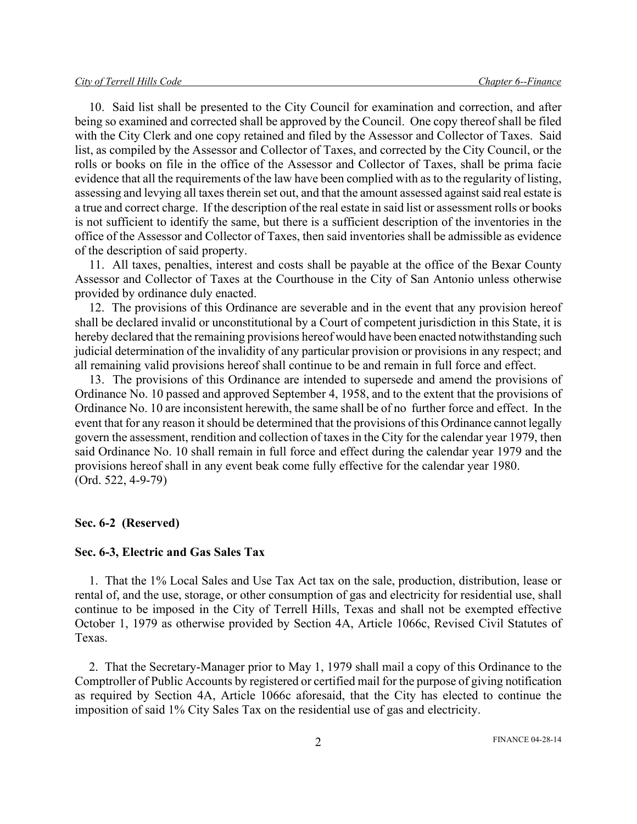10. Said list shall be presented to the City Council for examination and correction, and after being so examined and corrected shall be approved by the Council. One copy thereof shall be filed with the City Clerk and one copy retained and filed by the Assessor and Collector of Taxes. Said list, as compiled by the Assessor and Collector of Taxes, and corrected by the City Council, or the rolls or books on file in the office of the Assessor and Collector of Taxes, shall be prima facie evidence that all the requirements of the law have been complied with as to the regularity of listing, assessing and levying all taxes therein set out, and that the amount assessed against said real estate is a true and correct charge. If the description of the real estate in said list or assessment rolls or books is not sufficient to identify the same, but there is a sufficient description of the inventories in the office of the Assessor and Collector of Taxes, then said inventories shall be admissible as evidence of the description of said property.

11. All taxes, penalties, interest and costs shall be payable at the office of the Bexar County Assessor and Collector of Taxes at the Courthouse in the City of San Antonio unless otherwise provided by ordinance duly enacted.

12. The provisions of this Ordinance are severable and in the event that any provision hereof shall be declared invalid or unconstitutional by a Court of competent jurisdiction in this State, it is hereby declared that the remaining provisions hereof would have been enacted notwithstanding such judicial determination of the invalidity of any particular provision or provisions in any respect; and all remaining valid provisions hereof shall continue to be and remain in full force and effect.

13. The provisions of this Ordinance are intended to supersede and amend the provisions of Ordinance No. 10 passed and approved September 4, 1958, and to the extent that the provisions of Ordinance No. 10 are inconsistent herewith, the same shall be of no further force and effect. In the event that for any reason it should be determined that the provisions of this Ordinance cannot legally govern the assessment, rendition and collection of taxes in the City for the calendar year 1979, then said Ordinance No. 10 shall remain in full force and effect during the calendar year 1979 and the provisions hereof shall in any event beak come fully effective for the calendar year 1980. (Ord. 522, 4-9-79)

#### **Sec. 6-2 (Reserved)**

#### **Sec. 6-3, Electric and Gas Sales Tax**

1. That the 1% Local Sales and Use Tax Act tax on the sale, production, distribution, lease or rental of, and the use, storage, or other consumption of gas and electricity for residential use, shall continue to be imposed in the City of Terrell Hills, Texas and shall not be exempted effective October 1, 1979 as otherwise provided by Section 4A, Article 1066c, Revised Civil Statutes of Texas.

2. That the Secretary-Manager prior to May 1, 1979 shall mail a copy of this Ordinance to the Comptroller of Public Accounts by registered or certified mail for the purpose of giving notification as required by Section 4A, Article 1066c aforesaid, that the City has elected to continue the imposition of said 1% City Sales Tax on the residential use of gas and electricity.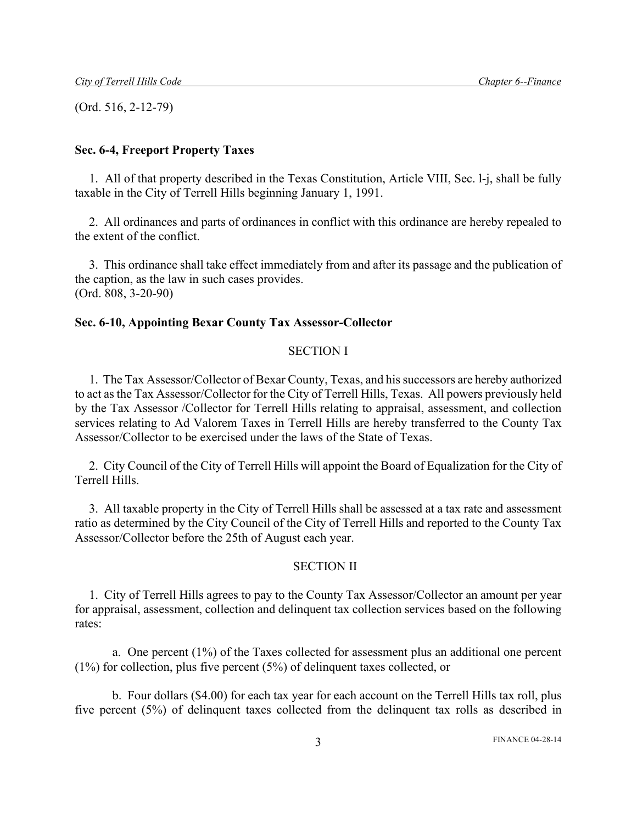(Ord. 516, 2-12-79)

### **Sec. 6-4, Freeport Property Taxes**

1. All of that property described in the Texas Constitution, Article VIII, Sec. l-j, shall be fully taxable in the City of Terrell Hills beginning January 1, 1991.

2. All ordinances and parts of ordinances in conflict with this ordinance are hereby repealed to the extent of the conflict.

3. This ordinance shall take effect immediately from and after its passage and the publication of the caption, as the law in such cases provides. (Ord. 808, 3-20-90)

#### **Sec. 6-10, Appointing Bexar County Tax Assessor-Collector**

#### SECTION I

1. The Tax Assessor/Collector of Bexar County, Texas, and hissuccessors are hereby authorized to act as the Tax Assessor/Collector for the City of Terrell Hills, Texas. All powers previously held by the Tax Assessor /Collector for Terrell Hills relating to appraisal, assessment, and collection services relating to Ad Valorem Taxes in Terrell Hills are hereby transferred to the County Tax Assessor/Collector to be exercised under the laws of the State of Texas.

2. City Council of the City of Terrell Hills will appoint the Board of Equalization for the City of Terrell Hills.

3. All taxable property in the City of Terrell Hills shall be assessed at a tax rate and assessment ratio as determined by the City Council of the City of Terrell Hills and reported to the County Tax Assessor/Collector before the 25th of August each year.

#### SECTION II

1. City of Terrell Hills agrees to pay to the County Tax Assessor/Collector an amount per year for appraisal, assessment, collection and delinquent tax collection services based on the following rates:

a. One percent (1%) of the Taxes collected for assessment plus an additional one percent (1%) for collection, plus five percent (5%) of delinquent taxes collected, or

b. Four dollars (\$4.00) for each tax year for each account on the Terrell Hills tax roll, plus five percent (5%) of delinquent taxes collected from the delinquent tax rolls as described in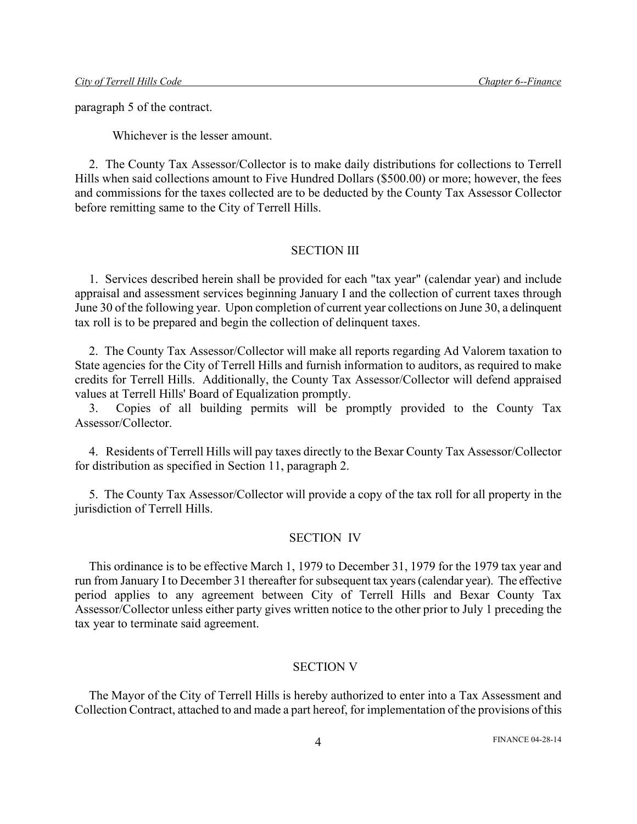paragraph 5 of the contract.

Whichever is the lesser amount.

2. The County Tax Assessor/Collector is to make daily distributions for collections to Terrell Hills when said collections amount to Five Hundred Dollars (\$500.00) or more; however, the fees and commissions for the taxes collected are to be deducted by the County Tax Assessor Collector before remitting same to the City of Terrell Hills.

#### SECTION III

1. Services described herein shall be provided for each "tax year" (calendar year) and include appraisal and assessment services beginning January I and the collection of current taxes through June 30 of the following year. Upon completion of current year collections on June 30, a delinquent tax roll is to be prepared and begin the collection of delinquent taxes.

2. The County Tax Assessor/Collector will make all reports regarding Ad Valorem taxation to State agencies for the City of Terrell Hills and furnish information to auditors, as required to make credits for Terrell Hills. Additionally, the County Tax Assessor/Collector will defend appraised values at Terrell Hills' Board of Equalization promptly.

3. Copies of all building permits will be promptly provided to the County Tax Assessor/Collector.

4. Residents of Terrell Hills will pay taxes directly to the Bexar County Tax Assessor/Collector for distribution as specified in Section 11, paragraph 2.

5. The County Tax Assessor/Collector will provide a copy of the tax roll for all property in the jurisdiction of Terrell Hills.

#### SECTION IV

This ordinance is to be effective March 1, 1979 to December 31, 1979 for the 1979 tax year and run from January I to December 31 thereafter for subsequent tax years (calendar year). The effective period applies to any agreement between City of Terrell Hills and Bexar County Tax Assessor/Collector unless either party gives written notice to the other prior to July 1 preceding the tax year to terminate said agreement.

#### SECTION V

The Mayor of the City of Terrell Hills is hereby authorized to enter into a Tax Assessment and Collection Contract, attached to and made a part hereof, for implementation of the provisions of this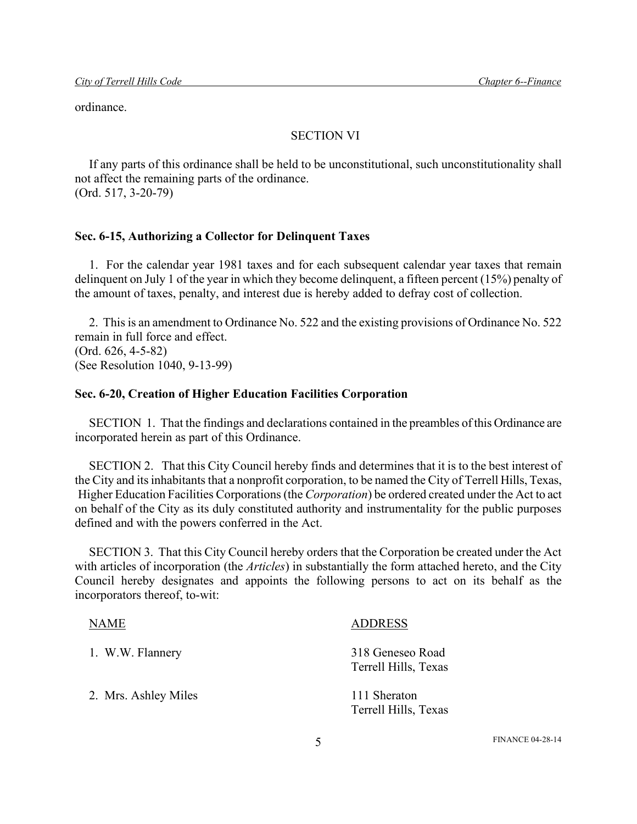ordinance.

#### SECTION VI

If any parts of this ordinance shall be held to be unconstitutional, such unconstitutionality shall not affect the remaining parts of the ordinance. (Ord. 517, 3-20-79)

#### **Sec. 6-15, Authorizing a Collector for Delinquent Taxes**

1. For the calendar year 1981 taxes and for each subsequent calendar year taxes that remain delinquent on July 1 of the year in which they become delinquent, a fifteen percent (15%) penalty of the amount of taxes, penalty, and interest due is hereby added to defray cost of collection.

2. This is an amendment to Ordinance No. 522 and the existing provisions of Ordinance No. 522 remain in full force and effect. (Ord. 626, 4-5-82) (See Resolution 1040, 9-13-99)

#### **Sec. 6-20, Creation of Higher Education Facilities Corporation**

SECTION 1. That the findings and declarations contained in the preambles of this Ordinance are incorporated herein as part of this Ordinance.

SECTION 2. That this City Council hereby finds and determines that it is to the best interest of the City and its inhabitants that a nonprofit corporation, to be named the City of Terrell Hills, Texas, Higher Education Facilities Corporations (the *Corporation*) be ordered created under the Act to act on behalf of the City as its duly constituted authority and instrumentality for the public purposes defined and with the powers conferred in the Act.

SECTION 3. That this City Council hereby orders that the Corporation be created under the Act with articles of incorporation (the *Articles*) in substantially the form attached hereto, and the City Council hereby designates and appoints the following persons to act on its behalf as the incorporators thereof, to-wit:

| <b>NAME</b>          | <b>ADDRESS</b>                           |
|----------------------|------------------------------------------|
| 1. W.W. Flannery     | 318 Geneseo Road<br>Terrell Hills, Texas |
| 2. Mrs. Ashley Miles | 111 Sheraton<br>Terrell Hills, Texas     |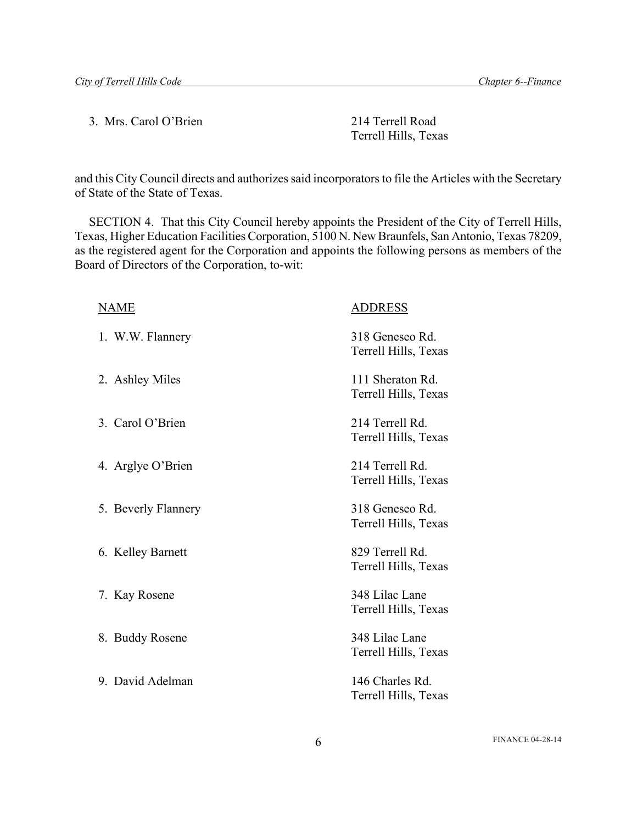3. Mrs. Carol O'Brien 214 Terrell Road

Terrell Hills, Texas

and this City Council directs and authorizes said incorporators to file the Articles with the Secretary of State of the State of Texas.

SECTION 4. That this City Council hereby appoints the President of the City of Terrell Hills, Texas, Higher Education Facilities Corporation, 5100 N. New Braunfels, San Antonio, Texas 78209, as the registered agent for the Corporation and appoints the following persons as members of the Board of Directors of the Corporation, to-wit:

| <b>NAME</b>         | <b>ADDRESS</b>                           |
|---------------------|------------------------------------------|
| 1. W.W. Flannery    | 318 Geneseo Rd.<br>Terrell Hills, Texas  |
| 2. Ashley Miles     | 111 Sheraton Rd.<br>Terrell Hills, Texas |
| 3. Carol O'Brien    | 214 Terrell Rd.<br>Terrell Hills, Texas  |
| 4. Arglye O'Brien   | 214 Terrell Rd.<br>Terrell Hills, Texas  |
| 5. Beverly Flannery | 318 Geneseo Rd.<br>Terrell Hills, Texas  |
| 6. Kelley Barnett   | 829 Terrell Rd.<br>Terrell Hills, Texas  |
| 7. Kay Rosene       | 348 Lilac Lane<br>Terrell Hills, Texas   |
| 8. Buddy Rosene     | 348 Lilac Lane<br>Terrell Hills, Texas   |
| 9. David Adelman    | 146 Charles Rd.<br>Terrell Hills, Texas  |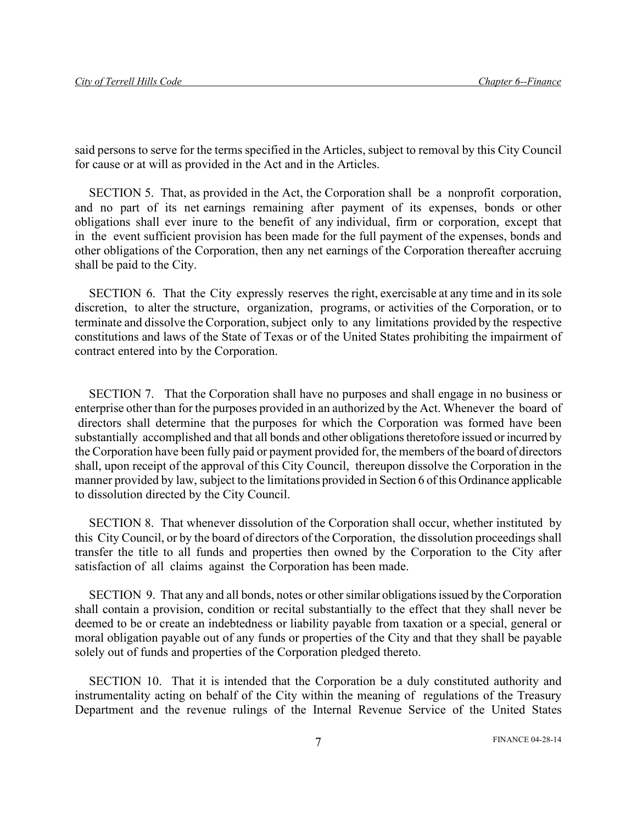said persons to serve for the terms specified in the Articles, subject to removal by this City Council for cause or at will as provided in the Act and in the Articles.

SECTION 5. That, as provided in the Act, the Corporation shall be a nonprofit corporation, and no part of its net earnings remaining after payment of its expenses, bonds or other obligations shall ever inure to the benefit of any individual, firm or corporation, except that in the event sufficient provision has been made for the full payment of the expenses, bonds and other obligations of the Corporation, then any net earnings of the Corporation thereafter accruing shall be paid to the City.

SECTION 6. That the City expressly reserves the right, exercisable at any time and in its sole discretion, to alter the structure, organization, programs, or activities of the Corporation, or to terminate and dissolve the Corporation, subject only to any limitations provided by the respective constitutions and laws of the State of Texas or of the United States prohibiting the impairment of contract entered into by the Corporation.

SECTION 7. That the Corporation shall have no purposes and shall engage in no business or enterprise other than for the purposes provided in an authorized by the Act. Whenever the board of directors shall determine that the purposes for which the Corporation was formed have been substantially accomplished and that all bonds and other obligations theretofore issued or incurred by the Corporation have been fully paid or payment provided for, the members of the board of directors shall, upon receipt of the approval of this City Council, thereupon dissolve the Corporation in the manner provided by law, subject to the limitations provided in Section 6 of this Ordinance applicable to dissolution directed by the City Council.

SECTION 8. That whenever dissolution of the Corporation shall occur, whether instituted by this City Council, or by the board of directors of the Corporation, the dissolution proceedings shall transfer the title to all funds and properties then owned by the Corporation to the City after satisfaction of all claims against the Corporation has been made.

SECTION 9. That any and all bonds, notes or other similar obligations issued by the Corporation shall contain a provision, condition or recital substantially to the effect that they shall never be deemed to be or create an indebtedness or liability payable from taxation or a special, general or moral obligation payable out of any funds or properties of the City and that they shall be payable solely out of funds and properties of the Corporation pledged thereto.

SECTION 10. That it is intended that the Corporation be a duly constituted authority and instrumentality acting on behalf of the City within the meaning of regulations of the Treasury Department and the revenue rulings of the Internal Revenue Service of the United States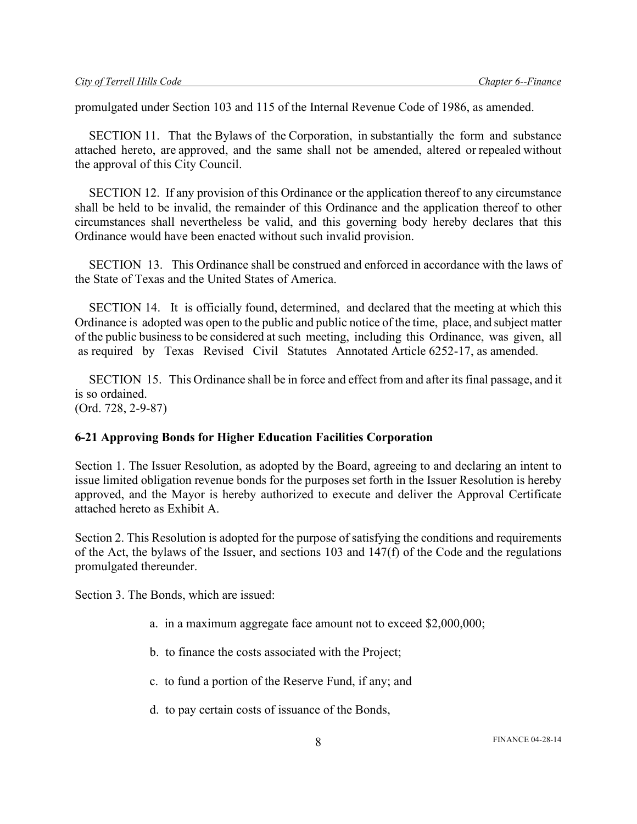promulgated under Section 103 and 115 of the Internal Revenue Code of 1986, as amended.

SECTION 11. That the Bylaws of the Corporation, in substantially the form and substance attached hereto, are approved, and the same shall not be amended, altered or repealed without the approval of this City Council.

SECTION 12. If any provision of this Ordinance or the application thereof to any circumstance shall be held to be invalid, the remainder of this Ordinance and the application thereof to other circumstances shall nevertheless be valid, and this governing body hereby declares that this Ordinance would have been enacted without such invalid provision.

SECTION 13. This Ordinance shall be construed and enforced in accordance with the laws of the State of Texas and the United States of America.

SECTION 14. It is officially found, determined, and declared that the meeting at which this Ordinance is adopted was open to the public and public notice of the time, place, and subject matter of the public business to be considered at such meeting, including this Ordinance, was given, all as required by Texas Revised Civil Statutes Annotated Article 6252-17, as amended.

SECTION 15. This Ordinance shall be in force and effect from and after its final passage, and it is so ordained. (Ord. 728, 2-9-87)

### **6-21 Approving Bonds for Higher Education Facilities Corporation**

Section 1. The Issuer Resolution, as adopted by the Board, agreeing to and declaring an intent to issue limited obligation revenue bonds for the purposes set forth in the Issuer Resolution is hereby approved, and the Mayor is hereby authorized to execute and deliver the Approval Certificate attached hereto as Exhibit A.

Section 2. This Resolution is adopted for the purpose of satisfying the conditions and requirements of the Act, the bylaws of the Issuer, and sections 103 and 147(f) of the Code and the regulations promulgated thereunder.

Section 3. The Bonds, which are issued:

- a. in a maximum aggregate face amount not to exceed \$2,000,000;
- b. to finance the costs associated with the Project;
- c. to fund a portion of the Reserve Fund, if any; and
- d. to pay certain costs of issuance of the Bonds,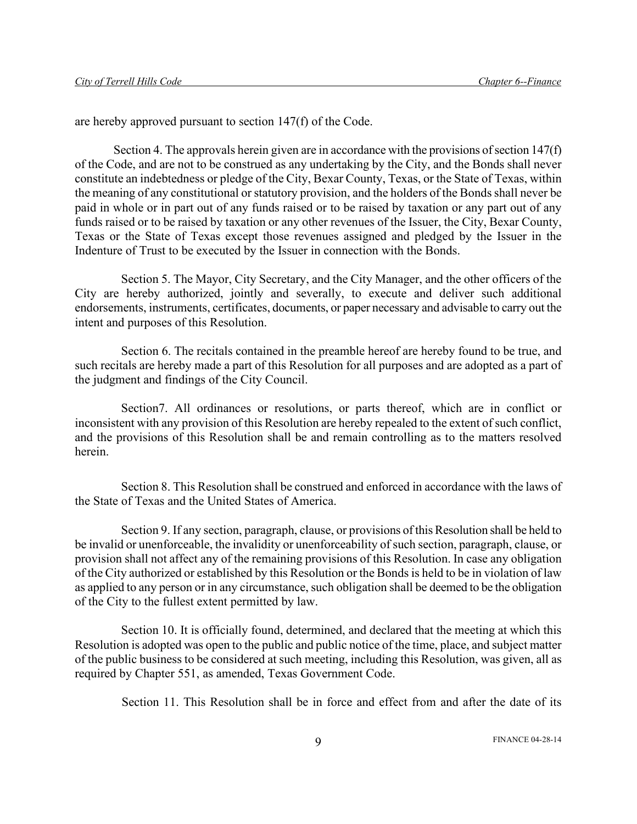are hereby approved pursuant to section 147(f) of the Code.

Section 4. The approvals herein given are in accordance with the provisions of section 147(f) of the Code, and are not to be construed as any undertaking by the City, and the Bonds shall never constitute an indebtedness or pledge of the City, Bexar County, Texas, or the State of Texas, within the meaning of any constitutional or statutory provision, and the holders of the Bonds shall never be paid in whole or in part out of any funds raised or to be raised by taxation or any part out of any funds raised or to be raised by taxation or any other revenues of the Issuer, the City, Bexar County, Texas or the State of Texas except those revenues assigned and pledged by the Issuer in the Indenture of Trust to be executed by the Issuer in connection with the Bonds.

Section 5. The Mayor, City Secretary, and the City Manager, and the other officers of the City are hereby authorized, jointly and severally, to execute and deliver such additional endorsements, instruments, certificates, documents, or paper necessary and advisable to carry out the intent and purposes of this Resolution.

Section 6. The recitals contained in the preamble hereof are hereby found to be true, and such recitals are hereby made a part of this Resolution for all purposes and are adopted as a part of the judgment and findings of the City Council.

Section7. All ordinances or resolutions, or parts thereof, which are in conflict or inconsistent with any provision of this Resolution are hereby repealed to the extent of such conflict, and the provisions of this Resolution shall be and remain controlling as to the matters resolved herein.

Section 8. This Resolution shall be construed and enforced in accordance with the laws of the State of Texas and the United States of America.

Section 9. If any section, paragraph, clause, or provisions of this Resolution shall be held to be invalid or unenforceable, the invalidity or unenforceability of such section, paragraph, clause, or provision shall not affect any of the remaining provisions of this Resolution. In case any obligation of the City authorized or established by this Resolution or the Bonds is held to be in violation of law as applied to any person or in any circumstance, such obligation shall be deemed to be the obligation of the City to the fullest extent permitted by law.

Section 10. It is officially found, determined, and declared that the meeting at which this Resolution is adopted was open to the public and public notice of the time, place, and subject matter of the public business to be considered at such meeting, including this Resolution, was given, all as required by Chapter 551, as amended, Texas Government Code.

Section 11. This Resolution shall be in force and effect from and after the date of its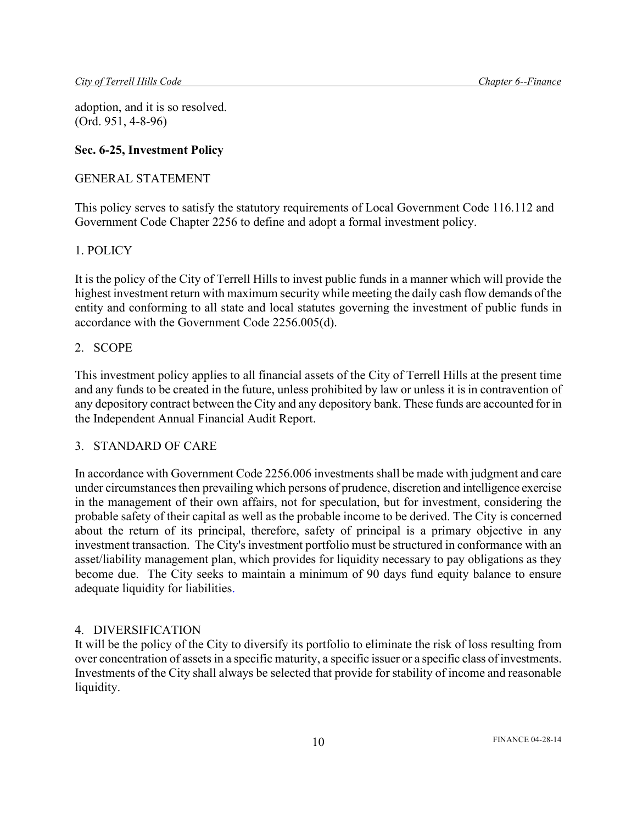adoption, and it is so resolved. (Ord. 951, 4-8-96)

## **Sec. 6-25, Investment Policy**

### GENERAL STATEMENT

This policy serves to satisfy the statutory requirements of Local Government Code 116.112 and Government Code Chapter 2256 to define and adopt a formal investment policy.

## 1. POLICY

It is the policy of the City of Terrell Hills to invest public funds in a manner which will provide the highest investment return with maximum security while meeting the daily cash flow demands of the entity and conforming to all state and local statutes governing the investment of public funds in accordance with the Government Code 2256.005(d).

### 2. SCOPE

This investment policy applies to all financial assets of the City of Terrell Hills at the present time and any funds to be created in the future, unless prohibited by law or unless it is in contravention of any depository contract between the City and any depository bank. These funds are accounted for in the Independent Annual Financial Audit Report.

# 3. STANDARD OF CARE

In accordance with Government Code 2256.006 investments shall be made with judgment and care under circumstances then prevailing which persons of prudence, discretion and intelligence exercise in the management of their own affairs, not for speculation, but for investment, considering the probable safety of their capital as well as the probable income to be derived. The City is concerned about the return of its principal, therefore, safety of principal is a primary objective in any investment transaction. The City's investment portfolio must be structured in conformance with an asset/liability management plan, which provides for liquidity necessary to pay obligations as they become due. The City seeks to maintain a minimum of 90 days fund equity balance to ensure adequate liquidity for liabilities.

### 4. DIVERSIFICATION

It will be the policy of the City to diversify its portfolio to eliminate the risk of loss resulting from over concentration of assets in a specific maturity, a specific issuer or a specific class of investments. Investments of the City shall always be selected that provide for stability of income and reasonable liquidity.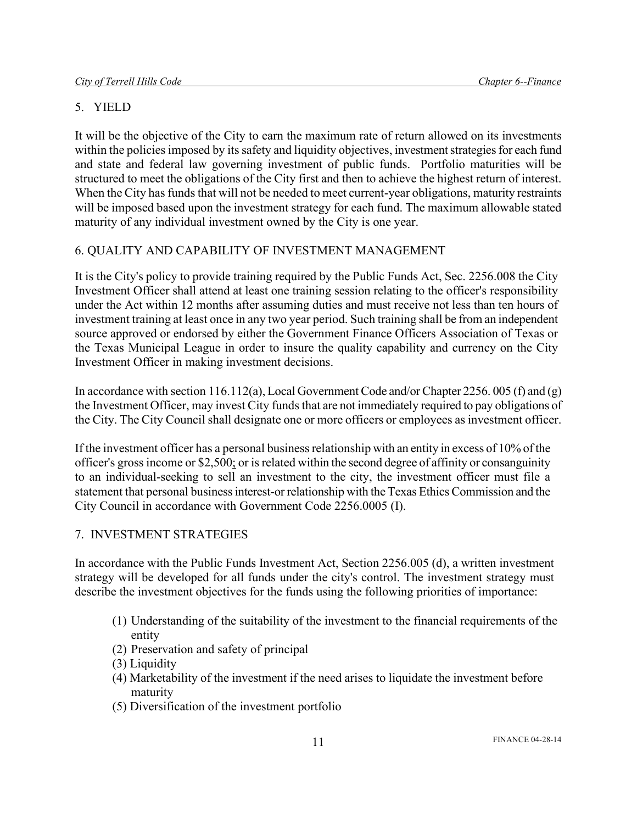# 5. YIELD

It will be the objective of the City to earn the maximum rate of return allowed on its investments within the policies imposed by its safety and liquidity objectives, investment strategies for each fund and state and federal law governing investment of public funds. Portfolio maturities will be structured to meet the obligations of the City first and then to achieve the highest return of interest. When the City has funds that will not be needed to meet current-year obligations, maturity restraints will be imposed based upon the investment strategy for each fund. The maximum allowable stated maturity of any individual investment owned by the City is one year.

# 6. QUALITY AND CAPABILITY OF INVESTMENT MANAGEMENT

It is the City's policy to provide training required by the Public Funds Act, Sec. 2256.008 the City Investment Officer shall attend at least one training session relating to the officer's responsibility under the Act within 12 months after assuming duties and must receive not less than ten hours of investment training at least once in any two year period. Such training shall be from an independent source approved or endorsed by either the Government Finance Officers Association of Texas or the Texas Municipal League in order to insure the quality capability and currency on the City Investment Officer in making investment decisions.

In accordance with section 116.112(a), Local Government Code and/or Chapter 2256. 005 (f) and (g) the Investment Officer, may invest City funds that are not immediately required to pay obligations of the City. The City Council shall designate one or more officers or employees as investment officer.

If the investment officer has a personal business relationship with an entity in excess of 10% of the officer's gross income or \$2,500; or is related within the second degree of affinity or consanguinity to an individual-seeking to sell an investment to the city, the investment officer must file a statement that personal business interest-or relationship with the Texas Ethics Commission and the City Council in accordance with Government Code 2256.0005 (I).

# 7. INVESTMENT STRATEGIES

In accordance with the Public Funds Investment Act, Section 2256.005 (d), a written investment strategy will be developed for all funds under the city's control. The investment strategy must describe the investment objectives for the funds using the following priorities of importance:

- (1) Understanding of the suitability of the investment to the financial requirements of the entity
- (2) Preservation and safety of principal
- (3) Liquidity
- (4) Marketability of the investment if the need arises to liquidate the investment before maturity
- (5) Diversification of the investment portfolio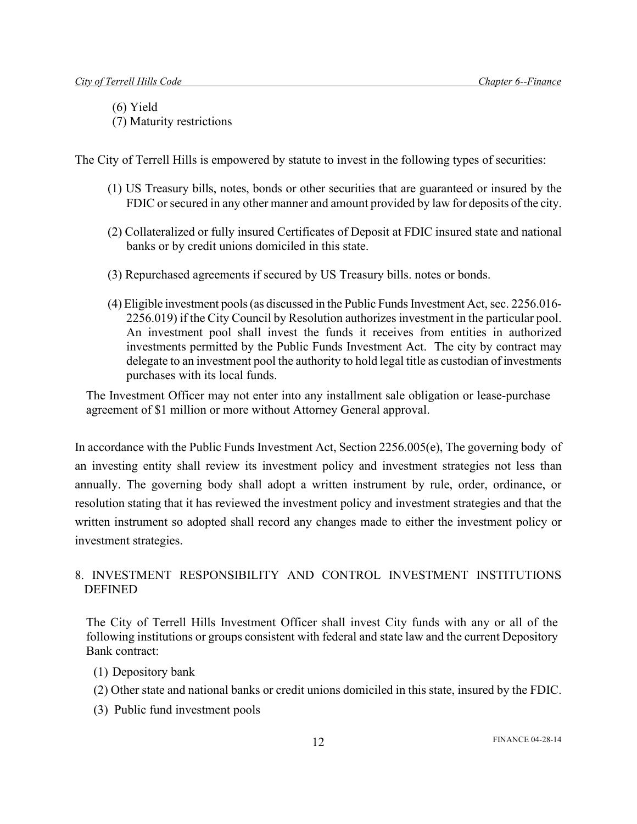(6) Yield

(7) Maturity restrictions

The City of Terrell Hills is empowered by statute to invest in the following types of securities:

- (1) US Treasury bills, notes, bonds or other securities that are guaranteed or insured by the FDIC or secured in any other manner and amount provided by law for deposits of the city.
- (2) Collateralized or fully insured Certificates of Deposit at FDIC insured state and national banks or by credit unions domiciled in this state.
- (3) Repurchased agreements if secured by US Treasury bills. notes or bonds.
- (4) Eligible investment pools (as discussed in the Public Funds Investment Act, sec. 2256.016-2256.019) if the City Council by Resolution authorizes investment in the particular pool. An investment pool shall invest the funds it receives from entities in authorized investments permitted by the Public Funds Investment Act. The city by contract may delegate to an investment pool the authority to hold legal title as custodian of investments purchases with its local funds.

The Investment Officer may not enter into any installment sale obligation or lease-purchase agreement of \$1 million or more without Attorney General approval.

In accordance with the Public Funds Investment Act, Section 2256.005(e), The governing body of an investing entity shall review its investment policy and investment strategies not less than annually. The governing body shall adopt a written instrument by rule, order, ordinance, or resolution stating that it has reviewed the investment policy and investment strategies and that the written instrument so adopted shall record any changes made to either the investment policy or investment strategies.

# 8. INVESTMENT RESPONSIBILITY AND CONTROL INVESTMENT INSTITUTIONS DEFINED

The City of Terrell Hills Investment Officer shall invest City funds with any or all of the following institutions or groups consistent with federal and state law and the current Depository Bank contract:

- (1) Depository bank
- (2) Other state and national banks or credit unions domiciled in this state, insured by the FDIC.
- (3) Public fund investment pools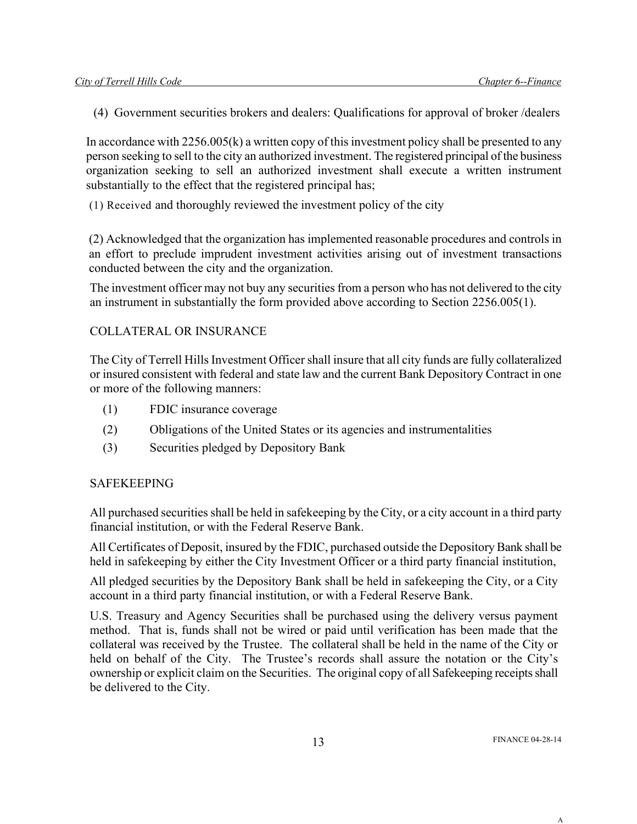(4) Government securities brokers and dealers: Qualifications for approval of broker /dealers

In accordance with 2256.005(k) a written copy of this investment policy shall be presented to any person seeking to sell to the city an authorized investment. The registered principal of the business organization seeking to sell an authorized investment shall execute a written instrument substantially to the effect that the registered principal has;

(1) Received and thoroughly reviewed the investment policy of the city

(2) Acknowledged that the organization has implemented reasonable procedures and controls in an effort to preclude imprudent investment activities arising out of investment transactions conducted between the city and the organization.

The investment officer may not buy any securities from a person who has not delivered to the city an instrument in substantially the form provided above according to Section 2256.005(1).

## COLLATERAL OR INSURANCE

The City of Terrell Hills Investment Officer shall insure that all city funds are fully collateralized or insured consistent with federal and state law and the current Bank Depository Contract in one or more of the following manners:

- (1) FDIC insurance coverage
- (2) Obligations of the United States or its agencies and instrumentalities
- (3) Securities pledged by Depository Bank

### SAFEKEEPING

All purchased securities shall be held in safekeeping by the City, or a city account in a third party financial institution, or with the Federal Reserve Bank.

All Certificates of Deposit, insured by the FDIC, purchased outside the Depository Bank shall be held in safekeeping by either the City Investment Officer or a third party financial institution,

All pledged securities by the Depository Bank shall be held in safekeeping the City, or a City account in a third party financial institution, or with a Federal Reserve Bank.

U.S. Treasury and Agency Securities shall be purchased using the delivery versus payment method. That is, funds shall not be wired or paid until verification has been made that the collateral was received by the Trustee. The collateral shall be held in the name of the City or held on behalf of the City. The Trustee's records shall assure the notation or the City's ownership or explicit claim on the Securities. The original copy of all Safekeeping receipts shall be delivered to the City.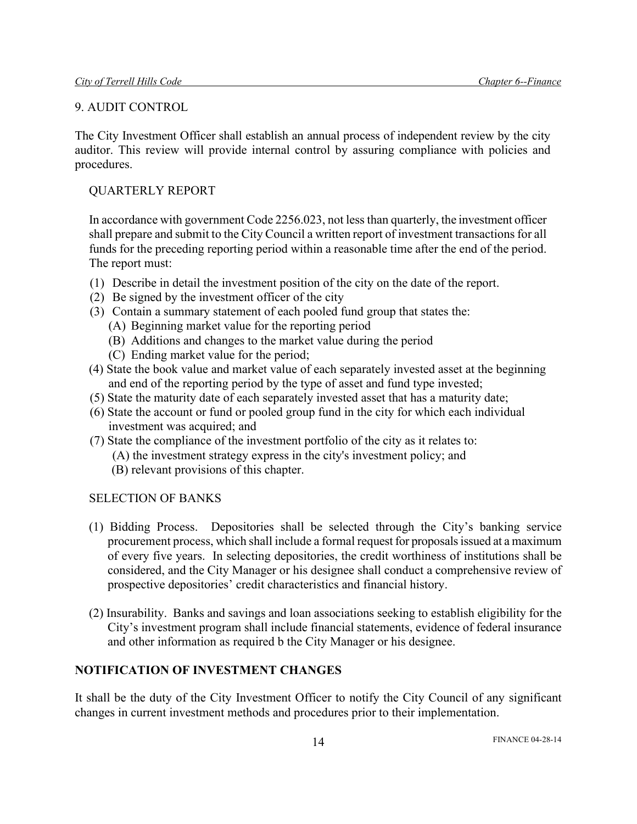### 9. AUDIT CONTROL

The City Investment Officer shall establish an annual process of independent review by the city auditor. This review will provide internal control by assuring compliance with policies and procedures.

# QUARTERLY REPORT

In accordance with government Code 2256.023, not less than quarterly, the investment officer shall prepare and submit to the City Council a written report of investment transactions for all funds for the preceding reporting period within a reasonable time after the end of the period. The report must:

- (1) Describe in detail the investment position of the city on the date of the report.
- (2) Be signed by the investment officer of the city
- (3) Contain a summary statement of each pooled fund group that states the:
	- (A) Beginning market value for the reporting period
	- (B) Additions and changes to the market value during the period
	- (C) Ending market value for the period;
- (4) State the book value and market value of each separately invested asset at the beginning and end of the reporting period by the type of asset and fund type invested;
- (5) State the maturity date of each separately invested asset that has a maturity date;
- (6) State the account or fund or pooled group fund in the city for which each individual investment was acquired; and
- (7) State the compliance of the investment portfolio of the city as it relates to:
	- (A) the investment strategy express in the city's investment policy; and
	- (B) relevant provisions of this chapter.

# SELECTION OF BANKS

- (1) Bidding Process. Depositories shall be selected through the City's banking service procurement process, which shall include a formal request for proposals issued at a maximum of every five years. In selecting depositories, the credit worthiness of institutions shall be considered, and the City Manager or his designee shall conduct a comprehensive review of prospective depositories' credit characteristics and financial history.
- (2) Insurability. Banks and savings and loan associations seeking to establish eligibility for the City's investment program shall include financial statements, evidence of federal insurance and other information as required b the City Manager or his designee.

# **NOTIFICATION OF INVESTMENT CHANGES**

It shall be the duty of the City Investment Officer to notify the City Council of any significant changes in current investment methods and procedures prior to their implementation.